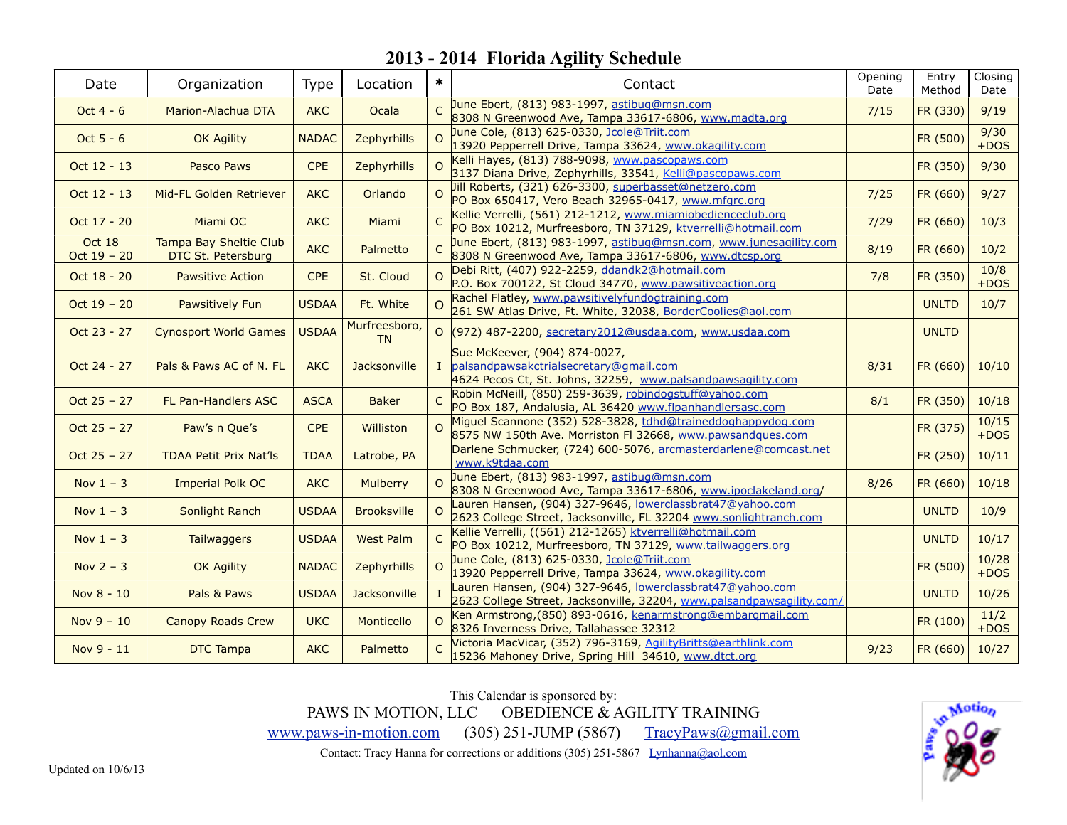| Date                    | Organization                                 | <b>Type</b>  | Location            | $\ast$         | Contact                                                                                                                                  | Opening<br>Date | Entry<br>Method | Closing<br>Date |
|-------------------------|----------------------------------------------|--------------|---------------------|----------------|------------------------------------------------------------------------------------------------------------------------------------------|-----------------|-----------------|-----------------|
| Oct $4 - 6$             | Marion-Alachua DTA                           | <b>AKC</b>   | Ocala               | $\Gamma$       | June Ebert, (813) 983-1997, astibug@msn.com<br>8308 N Greenwood Ave, Tampa 33617-6806, www.madta.org                                     | 7/15            | FR (330)        | 9/19            |
| Oct $5 - 6$             | OK Agility                                   | <b>NADAC</b> | Zephyrhills         | $\Omega$       | June Cole, (813) 625-0330, Jcole@Triit.com<br>13920 Pepperrell Drive, Tampa 33624, www.okagility.com                                     |                 | FR (500)        | 9/30<br>$+DOS$  |
| Oct 12 - 13             | Pasco Paws                                   | <b>CPE</b>   | Zephyrhills         | $\Omega$       | Kelli Hayes, (813) 788-9098, www.pascopaws.com<br>3137 Diana Drive, Zephyrhills, 33541, Kelli@pascopaws.com                              |                 | FR (350)        | 9/30            |
| Oct 12 - 13             | Mid-FL Golden Retriever                      | <b>AKC</b>   | Orlando             |                | Jill Roberts, (321) 626-3300, superbasset@netzero.com<br>PO Box 650417, Vero Beach 32965-0417, www.mfgrc.org                             | 7/25            | FR (660)        | 9/27            |
| Oct 17 - 20             | Miami OC                                     | <b>AKC</b>   | Miami               | $\mathsf{C}$   | Kellie Verrelli, (561) 212-1212, www.miamiobedienceclub.org<br>PO Box 10212, Murfreesboro, TN 37129, ktverrelli@hotmail.com              | 7/29            | FR (660)        | 10/3            |
| Oct 18<br>Oct $19 - 20$ | Tampa Bay Sheltie Club<br>DTC St. Petersburg | <b>AKC</b>   | Palmetto            |                | June Ebert, (813) 983-1997, astibug@msn.com, www.junesagility.com<br>8308 N Greenwood Ave, Tampa 33617-6806, www.dtcsp.org               | 8/19            | FR (660)        | 10/2            |
| Oct 18 - 20             | <b>Pawsitive Action</b>                      | <b>CPE</b>   | St. Cloud           | $\Omega$       | Debi Ritt, (407) 922-2259, ddandk2@hotmail.com<br>P.O. Box 700122, St Cloud 34770, www.pawsitiveaction.org                               | 7/8             | FR (350)        | 10/8<br>$+DOS$  |
| Oct $19 - 20$           | Pawsitively Fun                              | <b>USDAA</b> | Ft. White           | $\Omega$       | Rachel Flatley, www.pawsitivelyfundogtraining.com<br>261 SW Atlas Drive, Ft. White, 32038, BorderCoolies@aol.com                         |                 | <b>UNLTD</b>    | 10/7            |
| Oct 23 - 27             | <b>Cynosport World Games</b>                 | <b>USDAA</b> | Murfreesboro,<br>TN |                | O (972) 487-2200, secretary 2012@usdaa.com, www.usdaa.com                                                                                |                 | <b>UNLTD</b>    |                 |
| Oct 24 - 27             | Pals & Paws AC of N. FL                      | <b>AKC</b>   | Jacksonville        |                | Sue McKeever, (904) 874-0027,<br>I palsandpawsakctrialsecretary@gmail.com<br>4624 Pecos Ct, St. Johns, 32259, www.palsandpawsagility.com | 8/31            | FR (660)        | 10/10           |
| Oct $25 - 27$           | FL Pan-Handlers ASC                          | <b>ASCA</b>  | <b>Baker</b>        | $\overline{C}$ | Robin McNeill, (850) 259-3639, robindogstuff@yahoo.com<br>PO Box 187, Andalusia, AL 36420 www.flpanhandlersasc.com                       | 8/1             | FR (350)        | 10/18           |
| Oct $25 - 27$           | Paw's n Que's                                | <b>CPE</b>   | Williston           |                | Miguel Scannone (352) 528-3828, tdhd@traineddoghappydog.com<br>8575 NW 150th Ave. Morriston FI 32668, www.pawsandques.com                |                 | FR (375)        | 10/15<br>$+DOS$ |
| Oct $25 - 27$           | <b>TDAA Petit Prix Nat'ls</b>                | <b>TDAA</b>  | Latrobe, PA         |                | Darlene Schmucker, (724) 600-5076, arcmasterdarlene@comcast.net<br>www.k9tdaa.com                                                        |                 | FR (250)        | 10/11           |
| Nov $1 - 3$             | <b>Imperial Polk OC</b>                      | <b>AKC</b>   | <b>Mulberry</b>     |                | June Ebert, (813) 983-1997, astibug@msn.com<br>8308 N Greenwood Ave, Tampa 33617-6806, www.ipoclakeland.org/                             | 8/26            | FR (660)        | 10/18           |
| Nov $1 - 3$             | Sonlight Ranch                               | <b>USDAA</b> | <b>Brooksville</b>  | $\Omega$       | Lauren Hansen, (904) 327-9646, lowerclassbrat47@yahoo.com<br>2623 College Street, Jacksonville, FL 32204 www.sonlightranch.com           |                 | <b>UNLTD</b>    | 10/9            |
| Nov $1 - 3$             | <b>Tailwaggers</b>                           | <b>USDAA</b> | <b>West Palm</b>    |                | Kellie Verrelli, ((561) 212-1265) ktverrelli@hotmail.com<br>PO Box 10212, Murfreesboro, TN 37129, www.tailwaggers.org                    |                 | <b>UNLTD</b>    | 10/17           |
| Nov $2 - 3$             | OK Agility                                   | <b>NADAC</b> | Zephyrhills         | $\Omega$       | June Cole, (813) 625-0330, Jcole@Triit.com<br>13920 Pepperrell Drive, Tampa 33624, www.okagility.com                                     |                 | FR (500)        | 10/28<br>$+DOS$ |
| Nov 8 - 10              | Pals & Paws                                  | <b>USDAA</b> | Jacksonville        |                | Lauren Hansen, (904) 327-9646, lowerclassbrat47@yahoo.com<br>2623 College Street, Jacksonville, 32204, www.palsandpawsagility.com/       |                 | <b>UNLTD</b>    | 10/26           |
| Nov $9 - 10$            | <b>Canopy Roads Crew</b>                     | <b>UKC</b>   | Monticello          | $\Omega$       | Ken Armstrong, (850) 893-0616, kenarmstrong@embarqmail.com<br>8326 Inverness Drive, Tallahassee 32312                                    |                 | FR (100)        | 11/2<br>$+DOS$  |
| Nov 9 - 11              | <b>DTC Tampa</b>                             | <b>AKC</b>   | Palmetto            |                | Victoria MacVicar, (352) 796-3169, AgilityBritts@earthlink.com<br>15236 Mahoney Drive, Spring Hill 34610, www.dtct.org                   | 9/23            | FR (660)        | 10/27           |

This Calendar is sponsored by: PAWS IN MOTION, LLC OBEDIENCE & AGILITY TRAINING [www.paws-in-motion.com](http://www.paws-in-motion.com) (305) 251-JUMP (5867) [TracyPaws@gmail.com](mailto:TracyPaws@gmail.com)

Contact: Tracy Hanna for corrections or additions (305) 251-5867 [Lynhanna@aol.com](mailto:Lynhanna@aol.com)

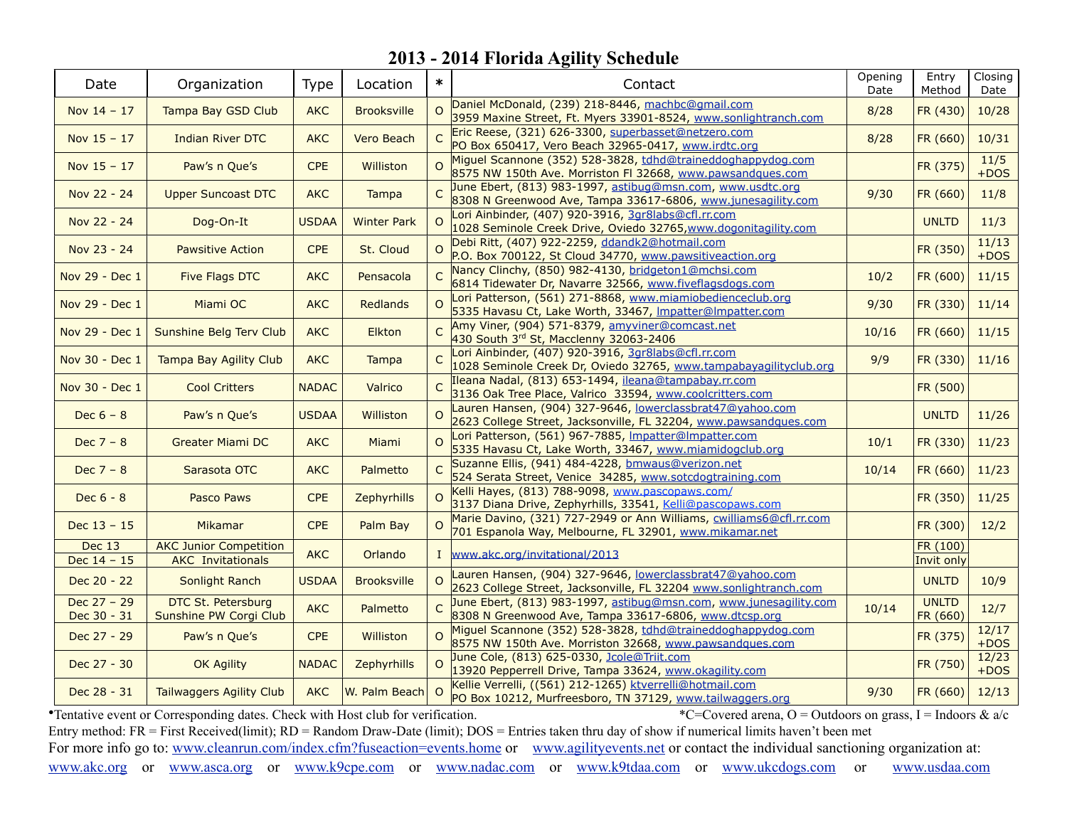| Date                           | Organization                                              | Type         | Location           | $\ast$         | Contact                                                                                                                                                                       | Opening<br>Date | Entry<br>Method          | Closing<br>Date |
|--------------------------------|-----------------------------------------------------------|--------------|--------------------|----------------|-------------------------------------------------------------------------------------------------------------------------------------------------------------------------------|-----------------|--------------------------|-----------------|
| Nov $14 - 17$                  | Tampa Bay GSD Club                                        | <b>AKC</b>   | <b>Brooksville</b> | $\Omega$       | Daniel McDonald, (239) 218-8446, machbc@qmail.com                                                                                                                             | 8/28            | FR (430)                 | 10/28           |
| Nov $15 - 17$                  | <b>Indian River DTC</b>                                   | <b>AKC</b>   | Vero Beach         | $\mathsf{C}$   | 3959 Maxine Street, Ft. Myers 33901-8524, www.sonlightranch.com<br>Eric Reese, (321) 626-3300, superbasset@netzero.com<br>PO Box 650417, Vero Beach 32965-0417, www.irdtc.org | 8/28            | FR (660)                 | 10/31           |
| Nov $15 - 17$                  | Paw's n Que's                                             | <b>CPE</b>   | Williston          | $\Omega$       | Miguel Scannone (352) 528-3828, tdhd@traineddoghappydog.com<br>8575 NW 150th Ave. Morriston FI 32668, www.pawsandques.com                                                     |                 | FR (375)                 | 11/5<br>$+DOS$  |
| Nov 22 - 24                    | <b>Upper Suncoast DTC</b>                                 | <b>AKC</b>   | <b>Tampa</b>       |                | June Ebert, (813) 983-1997, astibug@msn.com, www.usdtc.org<br>8308 N Greenwood Ave, Tampa 33617-6806, www.junesagility.com                                                    | 9/30            | FR (660)                 | 11/8            |
| Nov 22 - 24                    | Dog-On-It                                                 | <b>USDAA</b> | <b>Winter Park</b> | $\Omega$       | Lori Ainbinder, (407) 920-3916, 3gr8labs@cfl.rr.com<br>1028 Seminole Creek Drive, Oviedo 32765, www.dogonitagility.com                                                        |                 | <b>UNLTD</b>             | 11/3            |
| Nov 23 - 24                    | <b>Pawsitive Action</b>                                   | <b>CPE</b>   | St. Cloud          | $\Omega$       | Debi Ritt, (407) 922-2259, ddandk2@hotmail.com<br>P.O. Box 700122, St Cloud 34770, www.pawsitiveaction.org                                                                    |                 | FR (350)                 | 11/13<br>$+DOS$ |
| Nov 29 - Dec 1                 | <b>Five Flags DTC</b>                                     | <b>AKC</b>   | Pensacola          |                | Nancy Clinchy, (850) 982-4130, bridgeton1@mchsi.com<br>6814 Tidewater Dr, Navarre 32566, www.fiveflagsdogs.com                                                                | 10/2            | FR (600)                 | 11/15           |
| Nov 29 - Dec 1                 | Miami OC                                                  | <b>AKC</b>   | Redlands           | $\Omega$       | Lori Patterson, (561) 271-8868, www.miamiobedienceclub.org<br>5335 Havasu Ct, Lake Worth, 33467, Impatter@Impatter.com                                                        | 9/30            | FR (330)                 | 11/14           |
| Nov 29 - Dec 1                 | Sunshine Belg Terv Club                                   | <b>AKC</b>   | <b>Elkton</b>      | $\overline{C}$ | Amy Viner, (904) 571-8379, amyviner@comcast.net<br>430 South 3rd St, Macclenny 32063-2406                                                                                     | 10/16           | FR (660)                 | 11/15           |
| Nov 30 - Dec 1                 | <b>Tampa Bay Agility Club</b>                             | <b>AKC</b>   | <b>Tampa</b>       | $\overline{C}$ | Lori Ainbinder, (407) 920-3916, 3gr8labs@cfl.rr.com<br>1028 Seminole Creek Dr, Oviedo 32765, www.tampabayagilityclub.org                                                      | 9/9             | FR (330)                 | 11/16           |
| Nov 30 - Dec 1                 | <b>Cool Critters</b>                                      | <b>NADAC</b> | Valrico            |                | Ileana Nadal, (813) 653-1494, ileana@tampabay.rr.com<br>3136 Oak Tree Place, Valrico 33594, www.coolcritters.com                                                              |                 | FR (500)                 |                 |
| Dec $6 - 8$                    | Paw's n Que's                                             | <b>USDAA</b> | <b>Williston</b>   | $\Omega$       | Lauren Hansen, (904) 327-9646, lowerclassbrat47@yahoo.com<br>2623 College Street, Jacksonville, FL 32204, www.pawsandques.com                                                 |                 | <b>UNLTD</b>             | 11/26           |
| Dec $7 - 8$                    | <b>Greater Miami DC</b>                                   | <b>AKC</b>   | Miami              | $\Omega$       | Lori Patterson, (561) 967-7885, Impatter@Impatter.com<br>5335 Havasu Ct, Lake Worth, 33467, www.miamidogclub.org                                                              | 10/1            | FR (330)                 | 11/23           |
| Dec $7 - 8$                    | Sarasota OTC                                              | <b>AKC</b>   | Palmetto           | C              | Suzanne Ellis, (941) 484-4228, bmwaus@verizon.net<br>524 Serata Street, Venice 34285, www.sotcdogtraining.com                                                                 | 10/14           | FR (660)                 | 11/23           |
| Dec $6 - 8$                    | <b>Pasco Paws</b>                                         | <b>CPE</b>   | Zephyrhills        | $\Omega$       | Kelli Hayes, (813) 788-9098, www.pascopaws.com/<br>3137 Diana Drive, Zephyrhills, 33541, Kelli@pascopaws.com                                                                  |                 | FR (350)                 | 11/25           |
| Dec $13 - 15$                  | Mikamar                                                   | <b>CPE</b>   | Palm Bay           | $\Omega$       | Marie Davino, (321) 727-2949 or Ann Williams, cwilliams6@cfl.rr.com<br>701 Espanola Way, Melbourne, FL 32901, www.mikamar.net                                                 |                 | FR (300)                 | 12/2            |
| <b>Dec 13</b><br>Dec $14 - 15$ | <b>AKC Junior Competition</b><br><b>AKC</b> Invitationals | <b>AKC</b>   | Orlando            |                | I www.akc.org/invitational/2013                                                                                                                                               |                 | FR (100)<br>Invit only   |                 |
| Dec 20 - 22                    | Sonlight Ranch                                            | <b>USDAA</b> | <b>Brooksville</b> | $\Omega$       | Lauren Hansen, (904) 327-9646, lowerclassbrat47@yahoo.com<br>2623 College Street, Jacksonville, FL 32204 www.sonlightranch.com                                                |                 | <b>UNLTD</b>             | 10/9            |
| $Dec 27 - 29$<br>Dec 30 - 31   | DTC St. Petersburg<br>Sunshine PW Corgi Club              | <b>AKC</b>   | Palmetto           |                | June Ebert, (813) 983-1997, astibug@msn.com, www.junesagility.com<br>8308 N Greenwood Ave, Tampa 33617-6806, www.dtcsp.org                                                    | 10/14           | <b>UNLTD</b><br>FR (660) | 12/7            |
| Dec 27 - 29                    | Paw's n Que's                                             | <b>CPE</b>   | Williston          | $\overline{O}$ | Miguel Scannone (352) 528-3828, tdhd@traineddoghappydog.com<br>8575 NW 150th Ave. Morriston 32668, www.pawsandques.com                                                        |                 | FR (375)                 | 12/17<br>$+DOS$ |
| Dec 27 - 30                    | <b>OK Agility</b>                                         | <b>NADAC</b> | Zephyrhills        | $\Omega$       | June Cole, (813) 625-0330, Jcole@Triit.com<br>13920 Pepperrell Drive, Tampa 33624, www.okagility.com                                                                          |                 | FR (750)                 | 12/23<br>$+DOS$ |
| Dec 28 - 31                    | Tailwaggers Agility Club                                  | <b>AKC</b>   | W. Palm Beach      | $\Omega$       | Kellie Verrelli, ((561) 212-1265) ktverrelli@hotmail.com<br>PO Box 10212, Murfreesboro, TN 37129, www.tailwaggers.org                                                         | 9/30            | FR (660)                 | 12/13           |

• Tentative event or Corresponding dates. Check with Host club for verification. \*  $\degree$ C=Covered arena, O = Outdoors on grass, I = Indoors & a/c Entry method: FR = First Received(limit); RD = Random Draw-Date (limit); DOS = Entries taken thru day of show if numerical limits haven't been met For more info go to: [www.cleanrun.com/index.cfm?fuseaction=events.home](http://www.cleanrun.com/index.cfm?fuseaction=events.home) or [www.agilityevents.net](http://www.agilityevents.net) or contact the individual sanctioning organization at: [www.akc.org](http://www.akc.org) or [www.asca.org](http://www.asca.org/events/eventcalender) or [www.k9cpe.com](http://www.k9cpe.com/events.htm) or [www.nadac.com](http://www.nadac.com/afrm/trial-calendar.asp) or [www.k9tdaa.com](http://www.k9tdaa.com) or [www.ukcdogs.com](http://www.ukcdogs.com/Upcoming.nsf/EventView?Open&Group=DogEvents&Type=M) or [www.usdaa.com](http://www.usdaa.com/events.cfm)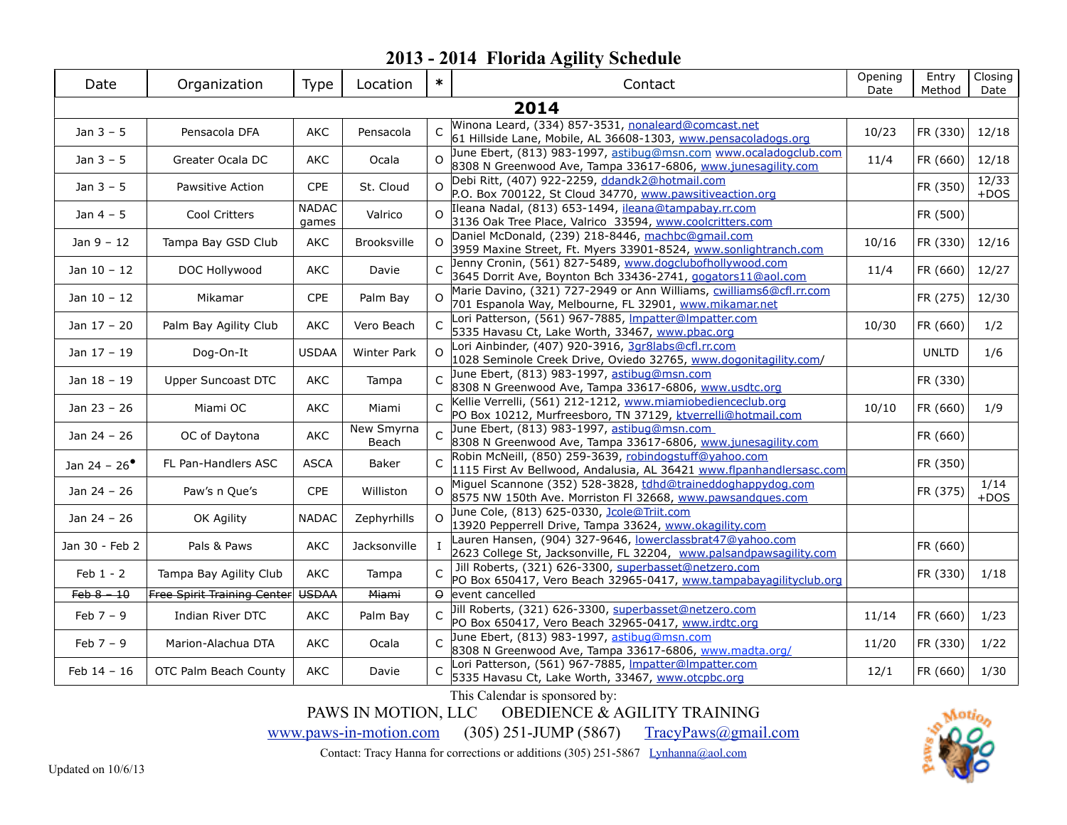| Date                  | Organization                       | Type                  | Location            | $\ast$         | Contact                                                                                                                          | Opening<br>Date | Entry<br>Method | Closing<br>Date |
|-----------------------|------------------------------------|-----------------------|---------------------|----------------|----------------------------------------------------------------------------------------------------------------------------------|-----------------|-----------------|-----------------|
|                       |                                    |                       |                     |                | 2014                                                                                                                             |                 |                 |                 |
| Jan $3 - 5$           | Pensacola DFA                      | AKC                   | Pensacola           |                | Winona Leard, (334) 857-3531, nonaleard@comcast.net<br>61 Hillside Lane, Mobile, AL 36608-1303, www.pensacoladogs.org            | 10/23           | FR (330)        | 12/18           |
| Jan $3 - 5$           | Greater Ocala DC                   | <b>AKC</b>            | Ocala               | $\Omega$       | June Ebert, (813) 983-1997, astibug@msn.com www.ocaladogclub.com<br>8308 N Greenwood Ave, Tampa 33617-6806, www.junesagility.com | 11/4            | FR (660)        | 12/18           |
| Jan $3 - 5$           | Pawsitive Action                   | <b>CPE</b>            | St. Cloud           | $\Omega$       | Debi Ritt, (407) 922-2259, ddandk2@hotmail.com<br>P.O. Box 700122, St Cloud 34770, www.pawsitiveaction.org                       |                 | FR (350)        | 12/33<br>$+DOS$ |
| Jan $4-5$             | Cool Critters                      | <b>NADAC</b><br>games | Valrico             | $\Omega$       | Ileana Nadal, (813) 653-1494, ileana@tampabay.rr.com<br>3136 Oak Tree Place, Valrico 33594, www.coolcritters.com                 |                 | FR (500)        |                 |
| $Jan 9 - 12$          | Tampa Bay GSD Club                 | AKC                   | <b>Brooksville</b>  | $\Omega$       | Daniel McDonald, (239) 218-8446, machbc@gmail.com<br>3959 Maxine Street, Ft. Myers 33901-8524, www.sonlightranch.com             | 10/16           | FR (330)        | 12/16           |
| Jan $10 - 12$         | DOC Hollywood                      | <b>AKC</b>            | Davie               |                | Jenny Cronin, (561) 827-5489, www.dogclubofhollywood.com<br>3645 Dorrit Ave, Boynton Bch 33436-2741, gogators11@aol.com          | 11/4            | FR (660)        | 12/27           |
| Jan 10 - 12           | Mikamar                            | CPE                   | Palm Bay            | $\Omega$       | Marie Davino, (321) 727-2949 or Ann Williams, cwilliams6@cfl.rr.com<br>701 Espanola Way, Melbourne, FL 32901, www.mikamar.net    |                 | FR (275)        | 12/30           |
| Jan 17 - 20           | Palm Bay Agility Club              | AKC                   | Vero Beach          | $\mathsf{C}$   | Lori Patterson, (561) 967-7885, Impatter@Impatter.com<br>5335 Havasu Ct, Lake Worth, 33467, www.pbac.org                         | 10/30           | FR (660)        | 1/2             |
| Jan $17 - 19$         | Dog-On-It                          | <b>USDAA</b>          | <b>Winter Park</b>  | $\Omega$       | Lori Ainbinder, (407) 920-3916, 3gr8labs@cfl.rr.com<br>1028 Seminole Creek Drive, Oviedo 32765, www.dogonitagility.com/          |                 | <b>UNLTD</b>    | 1/6             |
| Jan 18 - 19           | <b>Upper Suncoast DTC</b>          | AKC                   | Tampa               | $\overline{C}$ | June Ebert, (813) 983-1997, astibug@msn.com<br>8308 N Greenwood Ave, Tampa 33617-6806, www.usdtc.org                             |                 | FR (330)        |                 |
| Jan 23 - 26           | Miami OC                           | AKC                   | Miami               | $\mathsf{C}$   | Kellie Verrelli, (561) 212-1212, www.miamiobedienceclub.org<br>PO Box 10212, Murfreesboro, TN 37129, ktverrelli@hotmail.com      | 10/10           | FR (660)        | 1/9             |
| Jan 24 - 26           | OC of Daytona                      | <b>AKC</b>            | New Smyrna<br>Beach |                | June Ebert, (813) 983-1997, astibug@msn.com<br>8308 N Greenwood Ave, Tampa 33617-6806, www.junesagility.com                      |                 | FR (660)        |                 |
| Jan 24 - $26^{\circ}$ | FL Pan-Handlers ASC                | <b>ASCA</b>           | Baker               | $\overline{C}$ | Robin McNeill, (850) 259-3639, robindogstuff@yahoo.com<br>1115 First Av Bellwood, Andalusia, AL 36421 www.flpanhandlersasc.com   |                 | FR (350)        |                 |
| Jan 24 - 26           | Paw's n Que's                      | CPE                   | Williston           | $\Omega$       | Miguel Scannone (352) 528-3828, tdhd@traineddoghappydog.com<br>8575 NW 150th Ave. Morriston FI 32668, www.pawsandques.com        |                 | FR (375)        | 1/14<br>$+DOS$  |
| Jan 24 - 26           | OK Agility                         | <b>NADAC</b>          | Zephyrhills         | $\Omega$       | June Cole, (813) 625-0330, Jcole@Triit.com<br>13920 Pepperrell Drive, Tampa 33624, www.okagility.com                             |                 |                 |                 |
| Jan 30 - Feb 2        | Pals & Paws                        | <b>AKC</b>            | Jacksonville        |                | Lauren Hansen, (904) 327-9646, lowerclassbrat47@yahoo.com<br>2623 College St, Jacksonville, FL 32204, www.palsandpawsagility.com |                 | FR (660)        |                 |
| $Feb 1 - 2$           | Tampa Bay Agility Club             | <b>AKC</b>            | Tampa               |                | Jill Roberts, (321) 626-3300, superbasset@netzero.com<br>PO Box 650417, Vero Beach 32965-0417, www.tampabayagilityclub.org       |                 | FR (330)        | 1/18            |
| $Feb - 10$            | <b>Free Spirit Training Center</b> | <b>USDAA</b>          | Miami               |                | $\theta$ event cancelled                                                                                                         |                 |                 |                 |
| $Feb 7 - 9$           | Indian River DTC                   | AKC                   | Palm Bay            |                | Jill Roberts, (321) 626-3300, superbasset@netzero.com<br>PO Box 650417, Vero Beach 32965-0417, www.irdtc.org                     | 11/14           | FR (660)        | 1/23            |
| Feb $7 - 9$           | Marion-Alachua DTA                 | AKC                   | Ocala               | $\overline{C}$ | June Ebert, (813) 983-1997, astibug@msn.com<br>8308 N Greenwood Ave, Tampa 33617-6806, www.madta.org/                            | 11/20           | FR (330)        | 1/22            |
| Feb $14 - 16$         | OTC Palm Beach County              | AKC                   | Davie               | $\mathsf{C}$   | Lori Patterson, (561) 967-7885, Impatter@Impatter.com<br>5335 Havasu Ct, Lake Worth, 33467, www.otcpbc.org                       | 12/1            | FR (660)        | 1/30            |

This Calendar is sponsored by:

PAWS IN MOTION, LLC OBEDIENCE & AGILITY TRAINING

[www.paws-in-motion.com](http://www.paws-in-motion.com) (305) 251-JUMP (5867) [TracyPaws@gmail.com](mailto:TracyPaws@gmail.com)

Contact: Tracy Hanna for corrections or additions (305) 251-5867 [Lynhanna@aol.com](mailto:Lynhanna@aol.com)

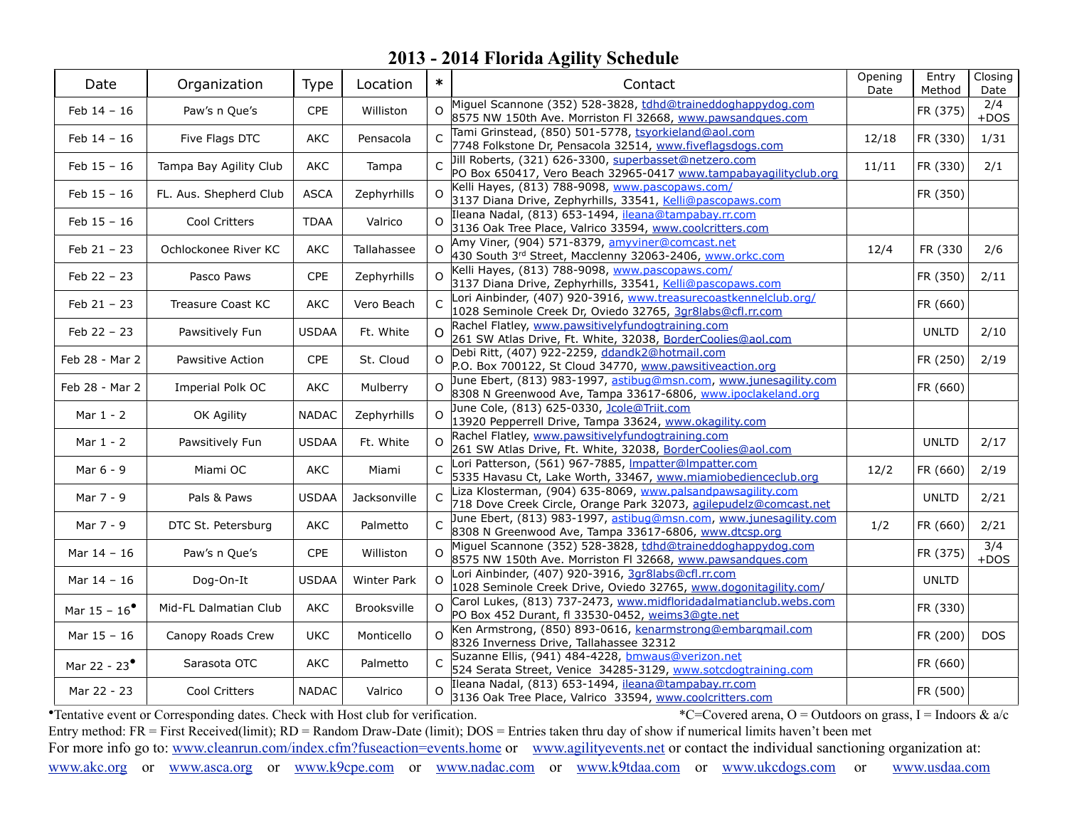| Date                  | Organization             | <b>Type</b>  | Location     | $\ast$       | Contact                                                                                                                           | Opening<br>Date | Entry<br>Method | Closing<br>Date |
|-----------------------|--------------------------|--------------|--------------|--------------|-----------------------------------------------------------------------------------------------------------------------------------|-----------------|-----------------|-----------------|
| Feb 14 - 16           | Paw's n Que's            | CPE          | Williston    | $\Omega$     | Miguel Scannone (352) 528-3828, tdhd@traineddoghappydog.com<br>8575 NW 150th Ave. Morriston FI 32668, www.pawsandques.com         |                 | FR (375)        | 2/4<br>$+DOS$   |
| $Feb 14 - 16$         | Five Flags DTC           | AKC          | Pensacola    | $\subset$    | Tami Grinstead, (850) 501-5778, tsyorkieland@aol.com<br>7748 Folkstone Dr, Pensacola 32514, www.fiveflagsdogs.com                 | 12/18           | FR (330)        | 1/31            |
| $Feb 15 - 16$         | Tampa Bay Agility Club   | AKC          | Tampa        |              | Jill Roberts, (321) 626-3300, superbasset@netzero.com<br>PO Box 650417, Vero Beach 32965-0417 www.tampabayagilityclub.org         | 11/11           | FR (330)        | 2/1             |
| $Feb 15 - 16$         | FL. Aus. Shepherd Club   | <b>ASCA</b>  | Zephyrhills  | $\Omega$     | Kelli Hayes, (813) 788-9098, www.pascopaws.com/<br>3137 Diana Drive, Zephyrhills, 33541, Kelli@pascopaws.com                      |                 | FR (350)        |                 |
| Feb $15 - 16$         | Cool Critters            | <b>TDAA</b>  | Valrico      | $\Omega$     | Ileana Nadal, (813) 653-1494, ileana@tampabay.rr.com<br>3136 Oak Tree Place, Valrico 33594, www.coolcritters.com                  |                 |                 |                 |
| $Feb 21 - 23$         | Ochlockonee River KC     | AKC          | Tallahassee  | $\Omega$     | Amy Viner, (904) 571-8379, amyviner@comcast.net<br>430 South 3rd Street, Macclenny 32063-2406, www.orkc.com                       | 12/4            | FR (330         | 2/6             |
| Feb 22 - 23           | Pasco Paws               | CPE          | Zephyrhills  |              | Kelli Hayes, (813) 788-9098, www.pascopaws.com/<br>3137 Diana Drive, Zephyrhills, 33541, Kelli@pascopaws.com                      |                 | FR (350)        | 2/11            |
| $Feb 21 - 23$         | <b>Treasure Coast KC</b> | AKC          | Vero Beach   | C            | Lori Ainbinder, (407) 920-3916, www.treasurecoastkennelclub.org/<br>1028 Seminole Creek Dr, Oviedo 32765, 3gr8labs@cfl.rr.com     |                 | FR (660)        |                 |
| Feb 22 - 23           | Pawsitively Fun          | <b>USDAA</b> | Ft. White    | $\Omega$     | Rachel Flatley, www.pawsitivelyfundogtraining.com<br>261 SW Atlas Drive, Ft. White, 32038, BorderCoolies@aol.com                  |                 | <b>UNLTD</b>    | 2/10            |
| Feb 28 - Mar 2        | Pawsitive Action         | <b>CPE</b>   | St. Cloud    | $\Omega$     | Debi Ritt, (407) 922-2259, ddandk2@hotmail.com<br>P.O. Box 700122, St Cloud 34770, www.pawsitiveaction.org                        |                 | FR (250)        | 2/19            |
| Feb 28 - Mar 2        | Imperial Polk OC         | AKC          | Mulberry     | $\Omega$     | June Ebert, (813) 983-1997, astibug@msn.com, www.junesagility.com<br>8308 N Greenwood Ave, Tampa 33617-6806, www.ipoclakeland.org |                 | FR (660)        |                 |
| Mar $1 - 2$           | OK Agility               | <b>NADAC</b> | Zephyrhills  | $\Omega$     | June Cole, (813) 625-0330, Jcole@Triit.com<br>13920 Pepperrell Drive, Tampa 33624, www.okagility.com                              |                 |                 |                 |
| Mar $1 - 2$           | Pawsitively Fun          | <b>USDAA</b> | Ft. White    | $\Omega$     | Rachel Flatley, www.pawsitivelyfundogtraining.com<br>261 SW Atlas Drive, Ft. White, 32038, BorderCoolies@aol.com                  |                 | <b>UNLTD</b>    | 2/17            |
| Mar 6 - 9             | Miami OC                 | AKC          | Miami        | C            | Lori Patterson, (561) 967-7885, Impatter@Impatter.com<br>5335 Havasu Ct, Lake Worth, 33467, www.miamiobedienceclub.org            | 12/2            | FR (660)        | 2/19            |
| Mar 7 - 9             | Pals & Paws              | USDAA        | Jacksonville | C            | Liza Klosterman, (904) 635-8069, www.palsandpawsagility.com<br>718 Dove Creek Circle, Orange Park 32073, agilepudelz@comcast.net  |                 | <b>UNLTD</b>    | 2/21            |
| Mar 7 - 9             | DTC St. Petersburg       | AKC          | Palmetto     | C            | June Ebert, (813) 983-1997, astibug@msn.com, www.junesagility.com<br>8308 N Greenwood Ave, Tampa 33617-6806, www.dtcsp.org        | 1/2             | FR (660)        | 2/21            |
| Mar 14 - 16           | Paw's n Que's            | CPE          | Williston    | $\Omega$     | Miguel Scannone (352) 528-3828, tdhd@traineddoghappydog.com<br>8575 NW 150th Ave. Morriston FI 32668, www.pawsandques.com         |                 | FR (375)        | 3/4<br>$+DOS$   |
| Mar 14 - 16           | Dog-On-It                | <b>USDAA</b> | Winter Park  | $\Omega$     | Lori Ainbinder, (407) 920-3916, 3gr8labs@cfl.rr.com<br>1028 Seminole Creek Drive, Oviedo 32765, www.dogonitagility.com/           |                 | <b>UNLTD</b>    |                 |
| Mar $15 - 16^{\circ}$ | Mid-FL Dalmatian Club    | AKC          | Brooksville  | $\Omega$     | Carol Lukes, (813) 737-2473, www.midfloridadalmatianclub.webs.com<br>PO Box 452 Durant, fl 33530-0452, weims3@gte.net             |                 | FR (330)        |                 |
| Mar 15 - 16           | Canopy Roads Crew        | <b>UKC</b>   | Monticello   | $\Omega$     | Ken Armstrong, (850) 893-0616, kenarmstrong@embargmail.com<br>8326 Inverness Drive, Tallahassee 32312                             |                 | FR (200)        | <b>DOS</b>      |
| Mar 22 - $23^{\circ}$ | Sarasota OTC             | AKC          | Palmetto     | $\mathsf{C}$ | Suzanne Ellis, (941) 484-4228, bmwaus@verizon.net<br>524 Serata Street, Venice 34285-3129, www.sotcdogtraining.com                |                 | FR (660)        |                 |
| Mar 22 - 23           | Cool Critters            | <b>NADAC</b> | Valrico      |              | Ileana Nadal, (813) 653-1494, ileana@tampabay.rr.com<br>3136 Oak Tree Place, Valrico 33594, www.coolcritters.com                  |                 | FR (500)        |                 |

• Tentative event or Corresponding dates. Check with Host club for verification. \* C=Covered arena, O = Outdoors on grass, I = Indoors & a/c Entry method: FR = First Received(limit); RD = Random Draw-Date (limit); DOS = Entries taken thru day of show if numerical limits haven't been met For more info go to: [www.cleanrun.com/index.cfm?fuseaction=events.home](http://www.cleanrun.com/index.cfm?fuseaction=events.home) or [www.agilityevents.net](http://www.agilityevents.net) or contact the individual sanctioning organization at: [www.akc.org](http://www.akc.org) or [www.asca.org](http://www.asca.org/events/eventcalender) or [www.k9cpe.com](http://www.k9cpe.com/events.htm) or [www.nadac.com](http://www.nadac.com/afrm/trial-calendar.asp) or [www.k9tdaa.com](http://www.k9tdaa.com) or [www.ukcdogs.com](http://www.ukcdogs.com/Upcoming.nsf/EventView?Open&Group=DogEvents&Type=M) or [www.usdaa.com](http://www.usdaa.com/events.cfm)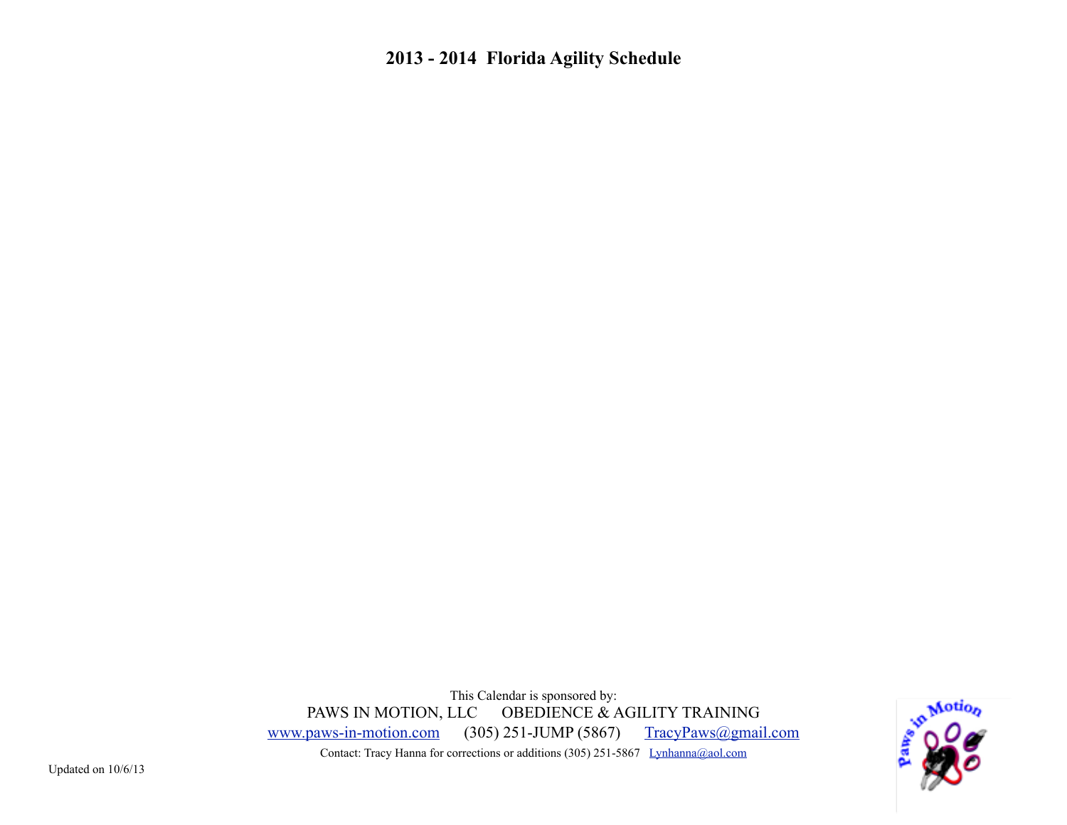This Calendar is sponsored by: PAWS IN MOTION, LLC OBEDIENCE & AGILITY TRAINING [www.paws-in-motion.com](http://www.paws-in-motion.com) (305) 251-JUMP (5867) [TracyPaws@gmail.com](mailto:TracyPaws@gmail.com) Contact: Tracy Hanna for corrections or additions (305) 251-5867 [Lynhanna@aol.com](mailto:Lynhanna@aol.com)

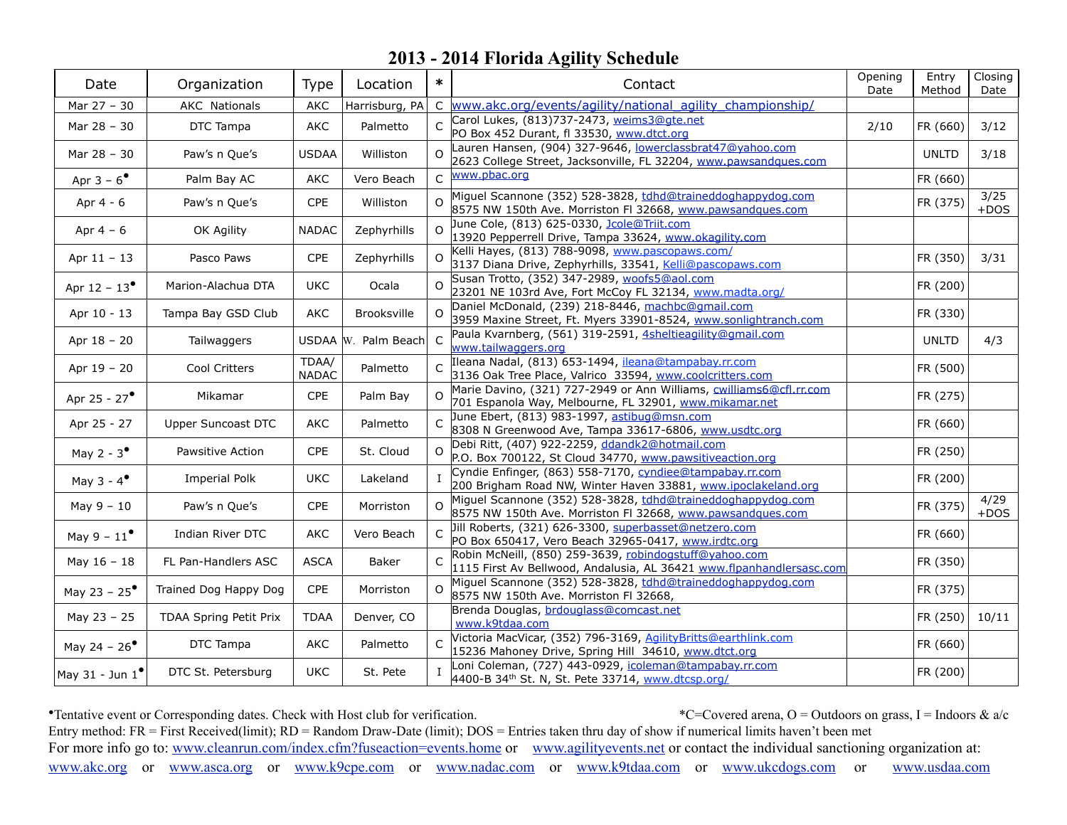| Date                            | Organization           | Type                  | Location            | $\ast$       | Contact                                                                                                                        | Opening<br>Date | Entry<br>Method | Closing<br>Date |
|---------------------------------|------------------------|-----------------------|---------------------|--------------|--------------------------------------------------------------------------------------------------------------------------------|-----------------|-----------------|-----------------|
| Mar 27 - 30                     | <b>AKC</b> Nationals   | AKC                   | Harrisburg, PA      | C            | www.akc.org/events/agility/national_agility_championship/                                                                      |                 |                 |                 |
| Mar 28 - 30                     | DTC Tampa              | AKC                   | Palmetto            | C            | Carol Lukes, (813)737-2473, weims3@gte.net<br>PO Box 452 Durant, fl 33530, www.dtct.org                                        | 2/10            | FR (660)        | 3/12            |
| Mar 28 - 30                     | Paw's n Que's          | <b>USDAA</b>          | Williston           | $\Omega$     | Lauren Hansen, (904) 327-9646, lowerclassbrat47@yahoo.com<br>2623 College Street, Jacksonville, FL 32204, www.pawsandques.com  |                 | <b>UNLTD</b>    | 3/18            |
| Apr $3 - 6^{\circ}$             | Palm Bay AC            | AKC                   | Vero Beach          | $\mathsf{C}$ | www.pbac.org                                                                                                                   |                 | FR (660)        |                 |
| Apr 4 - 6                       | Paw's n Que's          | <b>CPE</b>            | Williston           | $\Omega$     | Miguel Scannone (352) 528-3828, tdhd@traineddoghappydog.com<br>8575 NW 150th Ave. Morriston FI 32668, www.pawsandques.com      |                 | FR (375)        | 3/25<br>$+DOS$  |
| Apr $4-6$                       | OK Agility             | <b>NADAC</b>          | Zephyrhills         |              | June Cole, (813) 625-0330, Jcole@Triit.com<br>13920 Pepperrell Drive, Tampa 33624, www.okagility.com                           |                 |                 |                 |
| Apr $11 - 13$                   | Pasco Paws             | CPE                   | Zephyrhills         | $\Omega$     | Kelli Hayes, (813) 788-9098, www.pascopaws.com/<br>3137 Diana Drive, Zephyrhills, 33541, Kelli@pascopaws.com                   |                 | FR (350)        | 3/31            |
| Apr $12 - 13^{\circ}$           | Marion-Alachua DTA     | <b>UKC</b>            | Ocala               | $\Omega$     | Susan Trotto, (352) 347-2989, woofs5@aol.com<br>23201 NE 103rd Ave, Fort McCoy FL 32134, www.madta.org/                        |                 | FR (200)        |                 |
| Apr 10 - 13                     | Tampa Bay GSD Club     | AKC                   | Brooksville         |              | Daniel McDonald, (239) 218-8446, machbc@gmail.com<br>3959 Maxine Street, Ft. Myers 33901-8524, www.sonlightranch.com           |                 | FR (330)        |                 |
| Apr 18 - 20                     | Tailwaggers            |                       | USDAA W. Palm Beach | $\mathsf{C}$ | Paula Kvarnberg, (561) 319-2591, 4sheltieagility@gmail.com<br>www.tailwaggers.org                                              |                 | <b>UNLTD</b>    | 4/3             |
| Apr 19 - 20                     | Cool Critters          | TDAA/<br><b>NADAC</b> | Palmetto            | $\subset$    | Ileana Nadal, (813) 653-1494, ileana@tampabay.rr.com<br>3136 Oak Tree Place, Valrico 33594, www.coolcritters.com               |                 | FR (500)        |                 |
| Apr 25 - 27 <sup>°</sup>        | Mikamar                | CPE                   | Palm Bay            |              | Marie Davino, (321) 727-2949 or Ann Williams, cwilliams6@cfl.rr.com<br>701 Espanola Way, Melbourne, FL 32901, www.mikamar.net  |                 | FR (275)        |                 |
| Apr 25 - 27                     | Upper Suncoast DTC     | AKC                   | Palmetto            |              | June Ebert, (813) 983-1997, astibug@msn.com<br>8308 N Greenwood Ave, Tampa 33617-6806, www.usdtc.org                           |                 | FR (660)        |                 |
| May 2 - $3^{\bullet}$           | Pawsitive Action       | CPE                   | St. Cloud           | $\Omega$     | Debi Ritt, (407) 922-2259, ddandk2@hotmail.com<br>P.O. Box 700122, St Cloud 34770, www.pawsitiveaction.org                     |                 | FR (250)        |                 |
| May $3 - 4^{\bullet}$           | <b>Imperial Polk</b>   | <b>UKC</b>            | Lakeland            |              | Cyndie Enfinger, (863) 558-7170, cyndiee@tampabay.rr.com<br>200 Brigham Road NW, Winter Haven 33881, www.ipoclakeland.org      |                 | FR (200)        |                 |
| $May 9 - 10$                    | Paw's n Que's          | CPE                   | Morriston           | $\Omega$     | Miguel Scannone (352) 528-3828, tdhd@traineddoghappydog.com<br>8575 NW 150th Ave. Morriston FI 32668, www.pawsandques.com      |                 | FR (375)        | 4/29<br>$+DOS$  |
| May $9 - 11^{\bullet}$          | Indian River DTC       | <b>AKC</b>            | Vero Beach          | $\mathsf{C}$ | Jill Roberts, (321) 626-3300, superbasset@netzero.com<br>PO Box 650417, Vero Beach 32965-0417, www.irdtc.org                   |                 | FR (660)        |                 |
| May $16 - 18$                   | FL Pan-Handlers ASC    | <b>ASCA</b>           | Baker               |              | Robin McNeill, (850) 259-3639, robindogstuff@yahoo.com<br>1115 First Av Bellwood, Andalusia, AL 36421 www.flpanhandlersasc.com |                 | FR (350)        |                 |
| May 23 - $25^{\circ}$           | Trained Dog Happy Dog  | CPE                   | Morriston           | $\Omega$     | Miguel Scannone (352) 528-3828, tdhd@traineddoghappydog.com<br>8575 NW 150th Ave. Morriston FI 32668,                          |                 | FR (375)        |                 |
| May 23 - 25                     | TDAA Spring Petit Prix | <b>TDAA</b>           | Denver, CO          |              | Brenda Douglas, brdouglass@comcast.net<br>www.k9tdaa.com                                                                       |                 | FR (250)        | 10/11           |
| May 24 - $26^{\circ}$           | DTC Tampa              | AKC                   | Palmetto            |              | Victoria MacVicar, (352) 796-3169, AgilityBritts@earthlink.com<br>15236 Mahoney Drive, Spring Hill 34610, www.dtct.org         |                 | FR (660)        |                 |
| $ $ May 31 - Jun 1 $^{\bullet}$ | DTC St. Petersburg     | <b>UKC</b>            | St. Pete            |              | Loni Coleman, (727) 443-0929, icoleman@tampabay.rr.com<br>4400-B 34th St. N, St. Pete 33714, www.dtcsp.org/                    |                 | FR (200)        |                 |

• Tentative event or Corresponding dates. Check with Host club for verification. \* C=Covered arena, O = Outdoors on grass, I = Indoors & a/c Entry method: FR = First Received(limit); RD = Random Draw-Date (limit); DOS = Entries taken thru day of show if numerical limits haven't been met For more info go to: [www.cleanrun.com/index.cfm?fuseaction=events.home](http://www.cleanrun.com/index.cfm?fuseaction=events.home) or [www.agilityevents.net](http://www.agilityevents.net) or contact the individual sanctioning organization at: [www.akc.org](http://www.akc.org) or [www.asca.org](http://www.asca.org/events/eventcalender) or [www.k9cpe.com](http://www.k9cpe.com/events.htm) or [www.nadac.com](http://www.nadac.com/afrm/trial-calendar.asp) or [www.k9tdaa.com](http://www.k9tdaa.com) or [www.ukcdogs.com](http://www.ukcdogs.com/Upcoming.nsf/EventView?Open&Group=DogEvents&Type=M) or [www.usdaa.com](http://www.usdaa.com/events.cfm)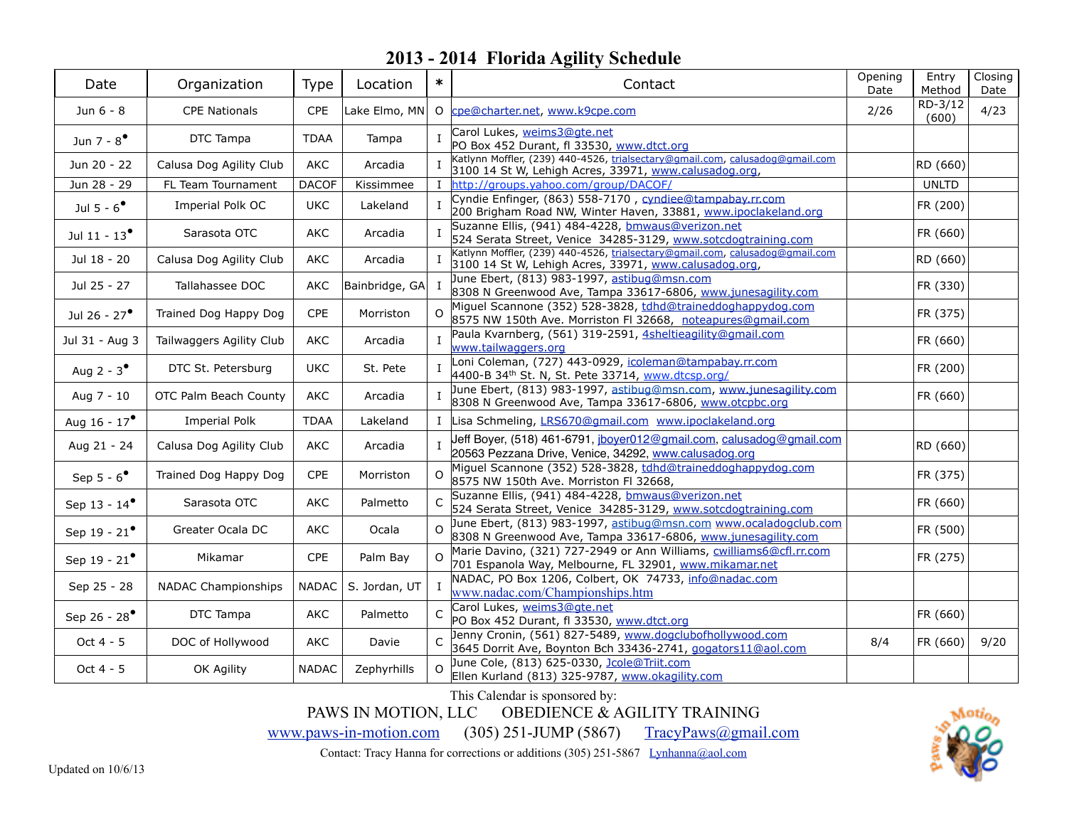| Date                     | Organization               | <b>Type</b>  | Location       | $\ast$       | Contact                                                                                                                               | Opening<br>Date | Entry<br>Method  | Closing<br>Date |
|--------------------------|----------------------------|--------------|----------------|--------------|---------------------------------------------------------------------------------------------------------------------------------------|-----------------|------------------|-----------------|
| Jun 6 - 8                | <b>CPE Nationals</b>       | CPE          |                |              | Lake Elmo, MN 0 cpe@charter.net, www.k9cpe.com                                                                                        | 2/26            | RD-3/12<br>(600) | 4/23            |
| Jun 7 - $8^{\bullet}$    | DTC Tampa                  | <b>TDAA</b>  | Tampa          | $\mathbf{I}$ | Carol Lukes, weims3@gte.net<br>PO Box 452 Durant, fl 33530, www.dtct.org                                                              |                 |                  |                 |
| Jun 20 - 22              | Calusa Dog Agility Club    | <b>AKC</b>   | Arcadia        |              | Katlynn Moffler, (239) 440-4526, trialsectary@gmail.com, calusadog@gmail.com<br>3100 14 St W, Lehigh Acres, 33971, www.calusadog.org, |                 | RD (660)         |                 |
| Jun 28 - 29              | FL Team Tournament         | <b>DACOF</b> | Kissimmee      | П.           | http://groups.yahoo.com/group/DACOF/                                                                                                  |                 | <b>UNLTD</b>     |                 |
| Jul 5 - $6^{\bullet}$    | Imperial Polk OC           | <b>UKC</b>   | Lakeland       | $\mathbf{I}$ | Cyndie Enfinger, (863) 558-7170, cyndiee@tampabay.rr.com<br>200 Brigham Road NW, Winter Haven, 33881, www.ipoclakeland.org            |                 | FR (200)         |                 |
| Jul 11 - $13^{\circ}$    | Sarasota OTC               | AKC          | Arcadia        |              | Suzanne Ellis, (941) 484-4228, bmwaus@verizon.net<br>524 Serata Street, Venice 34285-3129, www.sotcdogtraining.com                    |                 | FR (660)         |                 |
| Jul 18 - 20              | Calusa Dog Agility Club    | AKC          | Arcadia        |              | Katlynn Moffler, (239) 440-4526, trialsectary@gmail.com, calusadog@gmail.com<br>3100 14 St W, Lehigh Acres, 33971, www.calusadog.org, |                 | RD (660)         |                 |
| Jul 25 - 27              | Tallahassee DOC            | AKC          | Bainbridge, GA | $\mathbf{I}$ | June Ebert, (813) 983-1997, astibug@msn.com<br>8308 N Greenwood Ave, Tampa 33617-6806, www.junesagility.com                           |                 | FR (330)         |                 |
| Jul 26 - 27 <sup>°</sup> | Trained Dog Happy Dog      | <b>CPE</b>   | Morriston      | $\Omega$     | Miguel Scannone (352) 528-3828, tdhd@traineddoghappydog.com<br>8575 NW 150th Ave. Morriston FI 32668, noteapures@gmail.com            |                 | FR (375)         |                 |
| Jul 31 - Aug 3           | Tailwaggers Agility Club   | AKC          | Arcadia        |              | Paula Kvarnberg, (561) 319-2591, 4sheltieagility@gmail.com<br>www.tailwaggers.org                                                     |                 | FR (660)         |                 |
| Aug 2 - $3^{\bullet}$    | DTC St. Petersburg         | <b>UKC</b>   | St. Pete       | $\mathbf{I}$ | Loni Coleman, (727) 443-0929, icoleman@tampabay.rr.com<br>4400-B 34 <sup>th</sup> St. N, St. Pete 33714, www.dtcsp.org/               |                 | FR (200)         |                 |
| Aug 7 - 10               | OTC Palm Beach County      | AKC          | Arcadia        |              | June Ebert, (813) 983-1997, astibug@msn.com, www.junesagility.com<br>8308 N Greenwood Ave, Tampa 33617-6806, www.otcpbc.org           |                 | FR (660)         |                 |
| Aug 16 - $17^{\circ}$    | <b>Imperial Polk</b>       | <b>TDAA</b>  | Lakeland       | $\mathbf{I}$ | Lisa Schmeling, LRS670@gmail.com www.ipoclakeland.org                                                                                 |                 |                  |                 |
| Aug 21 - 24              | Calusa Dog Agility Club    | AKC          | Arcadia        | $\mathbf{I}$ | Jeff Boyer, (518) 461-6791, jboyer012@gmail.com, calusadog@gmail.com<br>20563 Pezzana Drive, Venice, 34292, www.calusadog.org         |                 | RD (660)         |                 |
| Sep $5 - 6^{\bullet}$    | Trained Dog Happy Dog      | <b>CPE</b>   | Morriston      | $\Omega$     | Miguel Scannone (352) 528-3828, tdhd@traineddoghappydog.com<br>8575 NW 150th Ave. Morriston FI 32668,                                 |                 | FR (375)         |                 |
| Sep 13 - 14 <sup>°</sup> | Sarasota OTC               | <b>AKC</b>   | Palmetto       |              | Suzanne Ellis, (941) 484-4228, bmwaus@verizon.net<br>524 Serata Street, Venice 34285-3129, www.sotcdogtraining.com                    |                 | FR (660)         |                 |
| Sep 19 - $21^{\bullet}$  | Greater Ocala DC           | AKC          | Ocala          | $\Omega$     | June Ebert, (813) 983-1997, astibug@msn.com www.ocaladogclub.com<br>8308 N Greenwood Ave, Tampa 33617-6806, www.junesagility.com      |                 | FR (500)         |                 |
| Sep 19 - $21^{\bullet}$  | Mikamar                    | CPE          | Palm Bay       | O            | Marie Davino, (321) 727-2949 or Ann Williams, cwilliams6@cfl.rr.com<br>701 Espanola Way, Melbourne, FL 32901, www.mikamar.net         |                 | FR (275)         |                 |
| Sep 25 - 28              | <b>NADAC Championships</b> | <b>NADAC</b> | S. Jordan, UT  |              | NADAC, PO Box 1206, Colbert, OK 74733, info@nadac.com<br>www.nadac.com/Championships.htm                                              |                 |                  |                 |
| Sep 26 - 28 <sup>°</sup> | DTC Tampa                  | AKC          | Palmetto       | C            | Carol Lukes, weims3@gte.net<br>PO Box 452 Durant, fl 33530, www.dtct.org                                                              |                 | FR (660)         |                 |
| Oct 4 - 5                | DOC of Hollywood           | AKC          | Davie          |              | Jenny Cronin, (561) 827-5489, www.dogclubofhollywood.com<br>3645 Dorrit Ave, Boynton Bch 33436-2741, gogators11@aol.com               | 8/4             | FR (660)         | 9/20            |
| Oct $4 - 5$              | OK Agility                 | <b>NADAC</b> | Zephyrhills    | $\Omega$     | June Cole, (813) 625-0330, <u>Jcole@Triit.com</u><br>Ellen Kurland (813) 325-9787, www.okagility.com                                  |                 |                  |                 |

This Calendar is sponsored by:

PAWS IN MOTION, LLC OBEDIENCE & AGILITY TRAINING

[www.paws-in-motion.com](http://www.paws-in-motion.com) (305) 251-JUMP (5867) [TracyPaws@gmail.com](mailto:TracyPaws@gmail.com)

Contact: Tracy Hanna for corrections or additions (305) 251-5867 [Lynhanna@aol.com](mailto:Lynhanna@aol.com)

Aoti